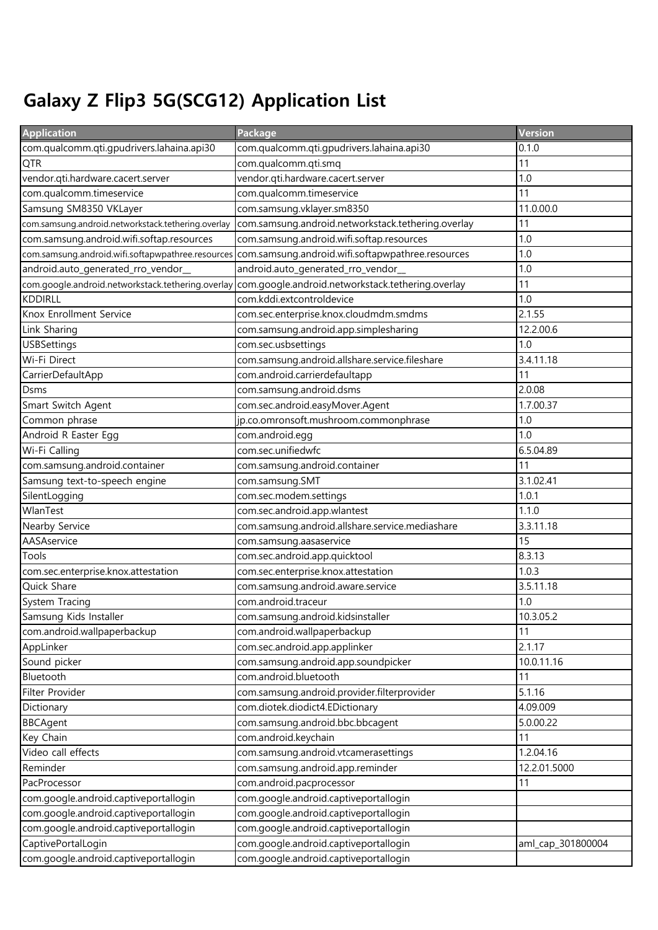## Galaxy Z Flip3 5G(SCG12) Application List

| <b>Application</b>                                 | Package                                            | Version           |
|----------------------------------------------------|----------------------------------------------------|-------------------|
| com.qualcomm.qti.gpudrivers.lahaina.api30          | com.qualcomm.qti.gpudrivers.lahaina.api30          | 0.1.0             |
| <b>QTR</b>                                         | com.qualcomm.qti.smq                               | 11                |
| vendor.qti.hardware.cacert.server                  | vendor.qti.hardware.cacert.server                  | 1.0               |
| com.qualcomm.timeservice                           | com.qualcomm.timeservice                           | 11                |
| Samsung SM8350 VKLayer                             | com.samsung.vklayer.sm8350                         | 11.0.00.0         |
| com.samsung.android.networkstack.tethering.overlay | com.samsung.android.networkstack.tethering.overlay | 11                |
| com.samsung.android.wifi.softap.resources          | com.samsung.android.wifi.softap.resources          | 1.0               |
| com.samsung.android.wifi.softapwpathree.resources  | com.samsung.android.wifi.softapwpathree.resources  | 1.0               |
| android.auto_generated_rro_vendor_                 | android.auto_generated_rro_vendor_                 | 1.0               |
| com.google.android.networkstack.tethering.overlay  | com.google.android.networkstack.tethering.overlay  | 11                |
| <b>KDDIRLL</b>                                     | com.kddi.extcontroldevice                          | 1.0               |
| Knox Enrollment Service                            | com.sec.enterprise.knox.cloudmdm.smdms             | 2.1.55            |
| Link Sharing                                       | com.samsung.android.app.simplesharing              | 12.2.00.6         |
| <b>USBSettings</b>                                 | com.sec.usbsettings                                | 1.0               |
| Wi-Fi Direct                                       | com.samsung.android.allshare.service.fileshare     | 3.4.11.18         |
| CarrierDefaultApp                                  | com.android.carrierdefaultapp                      | 11                |
| <b>Dsms</b>                                        | com.samsung.android.dsms                           | 2.0.08            |
| Smart Switch Agent                                 | com.sec.android.easyMover.Agent                    | 1.7.00.37         |
| Common phrase                                      | jp.co.omronsoft.mushroom.commonphrase              | 1.0               |
| Android R Easter Egg                               | com.android.egg                                    | 1.0               |
| Wi-Fi Calling                                      | com.sec.unifiedwfc                                 | 6.5.04.89         |
| com.samsung.android.container                      | com.samsung.android.container                      | 11                |
| Samsung text-to-speech engine                      | com.samsung.SMT                                    | 3.1.02.41         |
| SilentLogging                                      | com.sec.modem.settings                             | 1.0.1             |
| WlanTest                                           | com.sec.android.app.wlantest                       | 1.1.0             |
| Nearby Service                                     | com.samsung.android.allshare.service.mediashare    | 3.3.11.18         |
| AASAservice                                        | com.samsung.aasaservice                            | 15                |
| Tools                                              | com.sec.android.app.quicktool                      | 8.3.13            |
| com.sec.enterprise.knox.attestation                | com.sec.enterprise.knox.attestation                | 1.0.3             |
| Quick Share                                        | com.samsung.android.aware.service                  | 3.5.11.18         |
| System Tracing                                     | com.android.traceur                                | 1.0               |
| Samsung Kids Installer                             | com.samsung.android.kidsinstaller                  | 10.3.05.2         |
| com.android.wallpaperbackup                        | com.android.wallpaperbackup                        | 11                |
| AppLinker                                          | com.sec.android.app.applinker                      | 2.1.17            |
| Sound picker                                       | com.samsung.android.app.soundpicker                | 10.0.11.16        |
| Bluetooth                                          | com.android.bluetooth                              | 11                |
| Filter Provider                                    | com.samsung.android.provider.filterprovider        | 5.1.16            |
| Dictionary                                         | com.diotek.diodict4.EDictionary                    | 4.09.009          |
| <b>BBCAgent</b>                                    | com.samsung.android.bbc.bbcagent                   | 5.0.00.22         |
| Key Chain                                          | com.android.keychain                               | 11                |
| Video call effects                                 | com.samsung.android.vtcamerasettings               | 1.2.04.16         |
| Reminder                                           | com.samsung.android.app.reminder                   | 12.2.01.5000      |
| PacProcessor                                       | com.android.pacprocessor                           | 11                |
| com.google.android.captiveportallogin              | com.google.android.captiveportallogin              |                   |
| com.google.android.captiveportallogin              | com.google.android.captiveportallogin              |                   |
| com.google.android.captiveportallogin              | com.google.android.captiveportallogin              |                   |
| CaptivePortalLogin                                 | com.google.android.captiveportallogin              | aml_cap_301800004 |
| com.google.android.captiveportallogin              | com.google.android.captiveportallogin              |                   |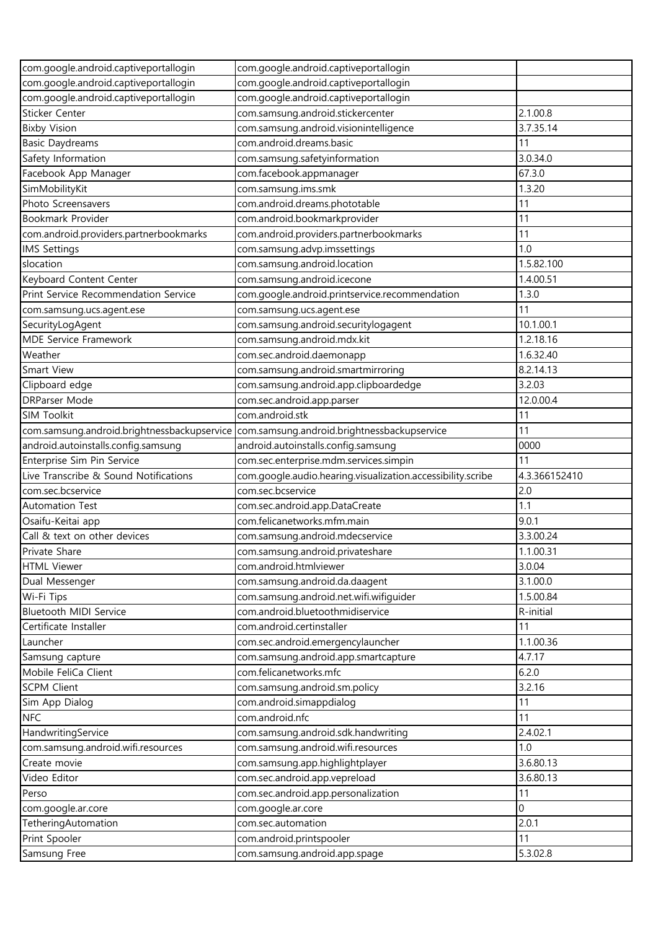| com.google.android.captiveportallogin       | com.google.android.captiveportallogin                       |                |
|---------------------------------------------|-------------------------------------------------------------|----------------|
| com.google.android.captiveportallogin       | com.google.android.captiveportallogin                       |                |
| com.google.android.captiveportallogin       | com.google.android.captiveportallogin                       |                |
| Sticker Center                              | com.samsung.android.stickercenter                           | 2.1.00.8       |
| <b>Bixby Vision</b>                         | com.samsung.android.visionintelligence                      | 3.7.35.14      |
| <b>Basic Daydreams</b>                      | com.android.dreams.basic                                    | 11             |
| Safety Information                          | com.samsung.safetyinformation                               | 3.0.34.0       |
| Facebook App Manager                        | com.facebook.appmanager                                     | 67.3.0         |
| SimMobilityKit                              | com.samsung.ims.smk                                         | 1.3.20         |
| Photo Screensavers                          | com.android.dreams.phototable                               | 11             |
| Bookmark Provider                           | com.android.bookmarkprovider                                | 11             |
| com.android.providers.partnerbookmarks      | com.android.providers.partnerbookmarks                      | 11             |
| <b>IMS Settings</b>                         | com.samsung.advp.imssettings                                | 1.0            |
| slocation                                   | com.samsung.android.location                                | 1.5.82.100     |
| Keyboard Content Center                     | com.samsung.android.icecone                                 | 1.4.00.51      |
| Print Service Recommendation Service        | com.google.android.printservice.recommendation              | 1.3.0          |
| com.samsung.ucs.agent.ese                   | com.samsung.ucs.agent.ese                                   | 11             |
| SecurityLogAgent                            | com.samsung.android.securitylogagent                        | 10.1.00.1      |
| MDE Service Framework                       | com.samsung.android.mdx.kit                                 | 1.2.18.16      |
| Weather                                     | com.sec.android.daemonapp                                   | 1.6.32.40      |
| Smart View                                  | com.samsung.android.smartmirroring                          | 8.2.14.13      |
| Clipboard edge                              | com.samsung.android.app.clipboardedge                       | 3.2.03         |
| <b>DRParser Mode</b>                        | com.sec.android.app.parser                                  | 12.0.00.4      |
| SIM Toolkit                                 | com.android.stk                                             | 11             |
| com.samsung.android.brightnessbackupservice | com.samsung.android.brightnessbackupservice                 | 11             |
| android.autoinstalls.config.samsung         | android.autoinstalls.config.samsung                         | 0000           |
| Enterprise Sim Pin Service                  | com.sec.enterprise.mdm.services.simpin                      | 11             |
|                                             |                                                             |                |
|                                             |                                                             |                |
| Live Transcribe & Sound Notifications       | com.google.audio.hearing.visualization.accessibility.scribe | 4.3.366152410  |
| com.sec.bcservice                           | com.sec.bcservice                                           | 2.0            |
| <b>Automation Test</b>                      | com.sec.android.app.DataCreate                              | 1.1            |
| Osaifu-Keitai app                           | com.felicanetworks.mfm.main                                 | 9.0.1          |
| Call & text on other devices                | com.samsung.android.mdecservice                             | 3.3.00.24      |
| Private Share                               | com.samsung.android.privateshare                            | 1.1.00.31      |
| <b>HTML Viewer</b>                          | com.android.htmlviewer                                      | 3.0.04         |
| Dual Messenger                              | com.samsung.android.da.daagent                              | 3.1.00.0       |
| Wi-Fi Tips                                  | com.samsung.android.net.wifi.wifiguider                     | 1.5.00.84      |
| Bluetooth MIDI Service                      | com.android.bluetoothmidiservice                            | R-initial      |
| Certificate Installer                       | com.android.certinstaller                                   | 11             |
| Launcher                                    | com.sec.android.emergencylauncher                           | 1.1.00.36      |
| Samsung capture                             | com.samsung.android.app.smartcapture                        | 4.7.17         |
| Mobile FeliCa Client                        | com.felicanetworks.mfc                                      | 6.2.0          |
| <b>SCPM Client</b>                          | com.samsung.android.sm.policy                               | 3.2.16         |
| Sim App Dialog                              | com.android.simappdialog                                    | 11             |
| <b>NFC</b>                                  | com.android.nfc                                             | 11             |
| HandwritingService                          | com.samsung.android.sdk.handwriting                         | 2.4.02.1       |
| com.samsung.android.wifi.resources          | com.samsung.android.wifi.resources                          | 1.0            |
| Create movie                                | com.samsung.app.highlightplayer                             | 3.6.80.13      |
| Video Editor                                | com.sec.android.app.vepreload                               | 3.6.80.13      |
| Perso                                       | com.sec.android.app.personalization                         | 11             |
| com.google.ar.core                          | com.google.ar.core                                          | $\overline{0}$ |
| TetheringAutomation                         | com.sec.automation                                          | 2.0.1          |
| Print Spooler<br>Samsung Free               | com.android.printspooler<br>com.samsung.android.app.spage   | 11<br>5.3.02.8 |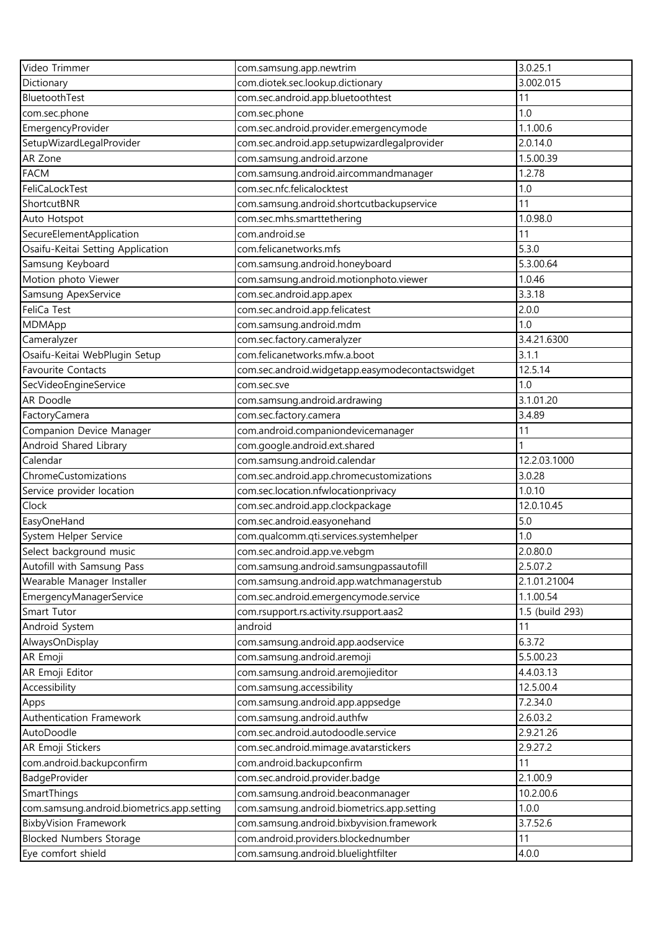| Video Trimmer                                  | com.samsung.app.newtrim                                            | 3.0.25.1              |
|------------------------------------------------|--------------------------------------------------------------------|-----------------------|
| Dictionary                                     | com.diotek.sec.lookup.dictionary                                   | 3.002.015             |
| BluetoothTest                                  | com.sec.android.app.bluetoothtest                                  | 11                    |
| com.sec.phone                                  | com.sec.phone                                                      | 1.0                   |
| EmergencyProvider                              | com.sec.android.provider.emergencymode                             | 1.1.00.6              |
| SetupWizardLegalProvider                       | com.sec.android.app.setupwizardlegalprovider                       | 2.0.14.0              |
| AR Zone                                        | com.samsung.android.arzone                                         | 1.5.00.39             |
| <b>FACM</b>                                    | com.samsung.android.aircommandmanager                              | 1.2.78                |
| FeliCaLockTest                                 | com.sec.nfc.felicalocktest                                         | 1.0                   |
| ShortcutBNR                                    | com.samsung.android.shortcutbackupservice                          | 11                    |
| Auto Hotspot                                   | com.sec.mhs.smarttethering                                         | 1.0.98.0              |
| SecureElementApplication                       | com.android.se                                                     | 11                    |
| Osaifu-Keitai Setting Application              | com.felicanetworks.mfs                                             | 5.3.0                 |
| Samsung Keyboard                               | com.samsung.android.honeyboard                                     | 5.3.00.64             |
| Motion photo Viewer                            | com.samsung.android.motionphoto.viewer                             | 1.0.46                |
| Samsung ApexService                            | com.sec.android.app.apex                                           | 3.3.18                |
| FeliCa Test                                    | com.sec.android.app.felicatest                                     | 2.0.0                 |
| MDMApp                                         | com.samsung.android.mdm                                            | 1.0                   |
| Cameralyzer                                    | com.sec.factory.cameralyzer                                        | 3.4.21.6300           |
| Osaifu-Keitai WebPlugin Setup                  | com.felicanetworks.mfw.a.boot                                      | 3.1.1                 |
| Favourite Contacts                             | com.sec.android.widgetapp.easymodecontactswidget                   | 12.5.14               |
| SecVideoEngineService                          | com.sec.sve                                                        | 1.0                   |
| AR Doodle                                      | com.samsung.android.ardrawing                                      | 3.1.01.20             |
| FactoryCamera                                  | com.sec.factory.camera                                             | 3.4.89                |
| Companion Device Manager                       | com.android.companiondevicemanager                                 | 11                    |
| Android Shared Library                         | com.google.android.ext.shared                                      |                       |
| Calendar                                       | com.samsung.android.calendar                                       | 12.2.03.1000          |
| ChromeCustomizations                           | com.sec.android.app.chromecustomizations                           | 3.0.28                |
| Service provider location                      | com.sec.location.nfwlocationprivacy                                | 1.0.10                |
| Clock                                          | com.sec.android.app.clockpackage                                   | 12.0.10.45            |
| EasyOneHand                                    | com.sec.android.easyonehand                                        | 5.0                   |
| System Helper Service                          | com.qualcomm.qti.services.systemhelper                             | 1.0                   |
| Select background music                        | com.sec.android.app.ve.vebgm                                       | 2.0.80.0              |
| Autofill with Samsung Pass                     | com.samsung.android.samsungpassautofill                            | 2.5.07.2              |
| Wearable Manager Installer                     | com.samsung.android.app.watchmanagerstub                           | 2.1.01.21004          |
| EmergencyManagerService                        | com.sec.android.emergencymode.service                              | 1.1.00.54             |
| Smart Tutor                                    | com.rsupport.rs.activity.rsupport.aas2                             | 1.5 (build 293)       |
| Android System                                 | android                                                            | 11                    |
| AlwaysOnDisplay                                | com.samsung.android.app.aodservice                                 | 6.3.72                |
| AR Emoji                                       | com.samsung.android.aremoji                                        | 5.5.00.23             |
| AR Emoji Editor                                | com.samsung.android.aremojieditor                                  | 4.4.03.13             |
|                                                |                                                                    | 12.5.00.4             |
| Accessibility                                  | com.samsung.accessibility                                          |                       |
| Apps                                           | com.samsung.android.app.appsedge                                   | 7.2.34.0              |
| Authentication Framework<br>AutoDoodle         | com.samsung.android.authfw<br>com.sec.android.autodoodle.service   | 2.6.03.2<br>2.9.21.26 |
|                                                |                                                                    |                       |
| AR Emoji Stickers<br>com.android.backupconfirm | com.sec.android.mimage.avatarstickers<br>com.android.backupconfirm | 2.9.27.2<br>11        |
|                                                |                                                                    |                       |
| BadgeProvider                                  | com.sec.android.provider.badge                                     | 2.1.00.9              |
| SmartThings                                    | com.samsung.android.beaconmanager                                  | 10.2.00.6             |
| com.samsung.android.biometrics.app.setting     | com.samsung.android.biometrics.app.setting                         | 1.0.0                 |
| BixbyVision Framework                          | com.samsung.android.bixbyvision.framework                          | 3.7.52.6              |
| <b>Blocked Numbers Storage</b>                 | com.android.providers.blockednumber                                | 11                    |
| Eye comfort shield                             | com.samsung.android.bluelightfilter                                | 4.0.0                 |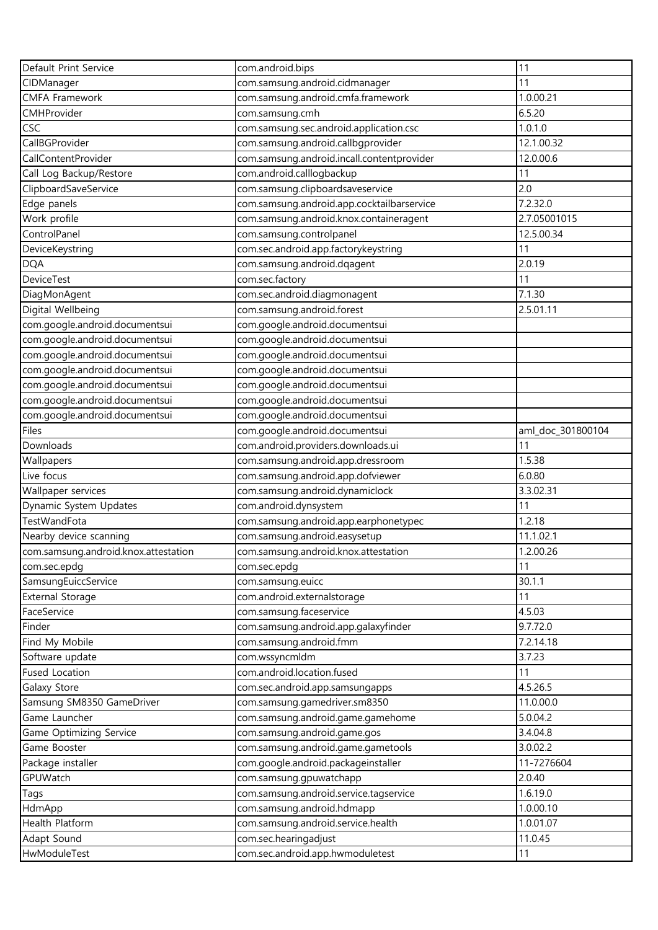| Default Print Service                | com.android.bips                           | 11                |
|--------------------------------------|--------------------------------------------|-------------------|
| CIDManager                           | com.samsung.android.cidmanager             | 11                |
| <b>CMFA Framework</b>                | com.samsung.android.cmfa.framework         | 1.0.00.21         |
| CMHProvider                          | com.samsung.cmh                            | 6.5.20            |
| <b>CSC</b>                           | com.samsung.sec.android.application.csc    | 1.0.1.0           |
| CallBGProvider                       | com.samsung.android.callbgprovider         | 12.1.00.32        |
| CallContentProvider                  | com.samsung.android.incall.contentprovider | 12.0.00.6         |
| Call Log Backup/Restore              | com.android.calllogbackup                  | 11                |
| ClipboardSaveService                 | com.samsung.clipboardsaveservice           | 2.0               |
| Edge panels                          | com.samsung.android.app.cocktailbarservice | 7.2.32.0          |
| Work profile                         | com.samsung.android.knox.containeragent    | 2.7.05001015      |
| ControlPanel                         | com.samsung.controlpanel                   | 12.5.00.34        |
| DeviceKeystring                      | com.sec.android.app.factorykeystring       | 11                |
| <b>DQA</b>                           | com.samsung.android.dqagent                | 2.0.19            |
| <b>DeviceTest</b>                    | com.sec.factory                            | 11                |
| DiagMonAgent                         | com.sec.android.diagmonagent               | 7.1.30            |
| Digital Wellbeing                    | com.samsung.android.forest                 | 2.5.01.11         |
| com.google.android.documentsui       | com.google.android.documentsui             |                   |
| com.google.android.documentsui       | com.google.android.documentsui             |                   |
| com.google.android.documentsui       | com.google.android.documentsui             |                   |
| com.google.android.documentsui       | com.google.android.documentsui             |                   |
| com.google.android.documentsui       | com.google.android.documentsui             |                   |
| com.google.android.documentsui       | com.google.android.documentsui             |                   |
| com.google.android.documentsui       | com.google.android.documentsui             |                   |
| Files                                | com.google.android.documentsui             | aml_doc_301800104 |
| Downloads                            | com.android.providers.downloads.ui         | 11                |
| Wallpapers                           | com.samsung.android.app.dressroom          | 1.5.38            |
| Live focus                           | com.samsung.android.app.dofviewer          | 6.0.80            |
| Wallpaper services                   | com.samsung.android.dynamiclock            | 3.3.02.31         |
| Dynamic System Updates               | com.android.dynsystem                      | 11                |
| TestWandFota                         | com.samsung.android.app.earphonetypec      | 1.2.18            |
| Nearby device scanning               | com.samsung.android.easysetup              | 11.1.02.1         |
| com.samsung.android.knox.attestation | com.samsung.android.knox.attestation       | 1.2.00.26         |
| com.sec.epdg                         | com.sec.epdg                               | 11                |
| SamsungEuiccService                  | com.samsung.euicc                          | 30.1.1            |
| <b>External Storage</b>              | com.android.externalstorage                | 11                |
| FaceService                          | com.samsung.faceservice                    | 4.5.03            |
| Finder                               | com.samsung.android.app.galaxyfinder       | 9.7.72.0          |
| Find My Mobile                       | com.samsung.android.fmm                    | 7.2.14.18         |
| Software update                      | com.wssyncmldm                             | 3.7.23            |
| <b>Fused Location</b>                | com.android.location.fused                 | 11                |
| Galaxy Store                         | com.sec.android.app.samsungapps            | 4.5.26.5          |
| Samsung SM8350 GameDriver            | com.samsung.gamedriver.sm8350              | 11.0.00.0         |
| Game Launcher                        | com.samsung.android.game.gamehome          | 5.0.04.2          |
| Game Optimizing Service              | com.samsung.android.game.gos               | 3.4.04.8          |
| Game Booster                         | com.samsung.android.game.gametools         | 3.0.02.2          |
| Package installer                    | com.google.android.packageinstaller        | 11-7276604        |
| GPUWatch                             | com.samsung.gpuwatchapp                    | 2.0.40            |
| Tags                                 | com.samsung.android.service.tagservice     | 1.6.19.0          |
| HdmApp                               | com.samsung.android.hdmapp                 | 1.0.00.10         |
| Health Platform                      | com.samsung.android.service.health         | 1.0.01.07         |
| Adapt Sound                          | com.sec.hearingadjust                      | 11.0.45           |
| HwModuleTest                         | com.sec.android.app.hwmoduletest           | 11                |
|                                      |                                            |                   |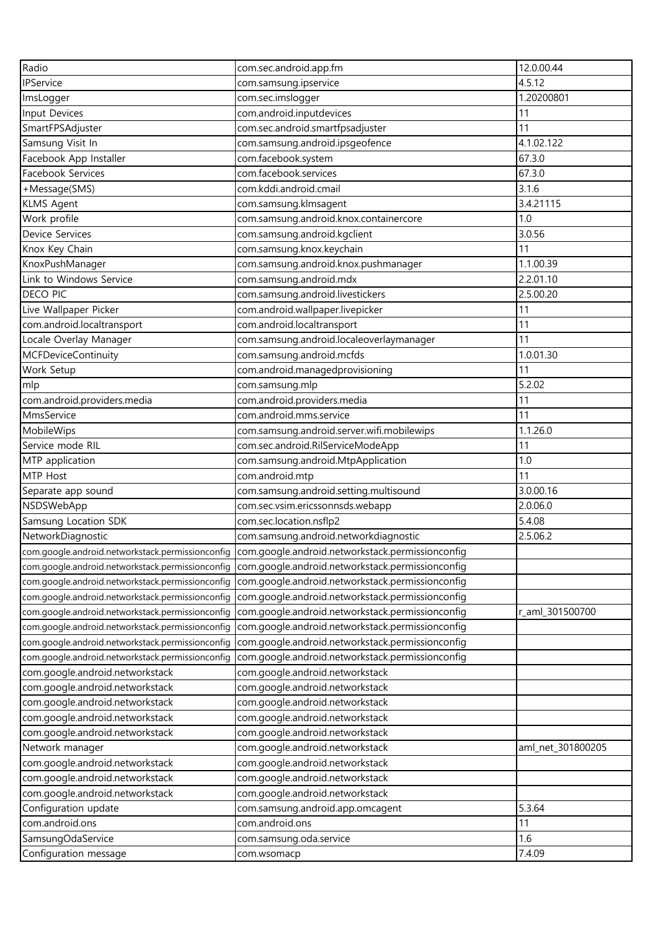| Radio                                            | com.sec.android.app.fm                                                                            | 12.0.00.44        |
|--------------------------------------------------|---------------------------------------------------------------------------------------------------|-------------------|
| IPService                                        | com.samsung.ipservice                                                                             | 4.5.12            |
| ImsLogger                                        | com.sec.imslogger                                                                                 | 1.20200801        |
| Input Devices                                    | com.android.inputdevices                                                                          | 11                |
| SmartFPSAdjuster                                 | com.sec.android.smartfpsadjuster                                                                  | 11                |
| Samsung Visit In                                 | com.samsung.android.ipsgeofence                                                                   | 4.1.02.122        |
| Facebook App Installer                           | com.facebook.system                                                                               | 67.3.0            |
| Facebook Services                                | com.facebook.services                                                                             | 67.3.0            |
| +Message(SMS)                                    | com.kddi.android.cmail                                                                            | 3.1.6             |
| <b>KLMS Agent</b>                                | com.samsung.klmsagent                                                                             | 3.4.21115         |
| Work profile                                     | com.samsung.android.knox.containercore                                                            | 1.0               |
| Device Services                                  | com.samsung.android.kgclient                                                                      | 3.0.56            |
| Knox Key Chain                                   | com.samsung.knox.keychain                                                                         | 11                |
| KnoxPushManager                                  | com.samsung.android.knox.pushmanager                                                              | 1.1.00.39         |
| Link to Windows Service                          | com.samsung.android.mdx                                                                           | 2.2.01.10         |
| <b>DECO PIC</b>                                  | com.samsung.android.livestickers                                                                  | 2.5.00.20         |
| Live Wallpaper Picker                            | com.android.wallpaper.livepicker                                                                  | 11                |
| com.android.localtransport                       | com.android.localtransport                                                                        | 11                |
| Locale Overlay Manager                           | com.samsung.android.localeoverlaymanager                                                          | 11                |
| MCFDeviceContinuity                              | com.samsung.android.mcfds                                                                         | 1.0.01.30         |
| Work Setup                                       | com.android.managedprovisioning                                                                   | 11                |
| mlp                                              | com.samsung.mlp                                                                                   | 5.2.02            |
| com.android.providers.media                      | com.android.providers.media                                                                       | 11                |
| MmsService                                       | com.android.mms.service                                                                           | 11                |
| MobileWips                                       | com.samsung.android.server.wifi.mobilewips                                                        | 1.1.26.0          |
| Service mode RIL                                 | com.sec.android.RilServiceModeApp                                                                 | 11                |
| MTP application                                  | com.samsung.android.MtpApplication                                                                | 1.0               |
| MTP Host                                         | com.android.mtp                                                                                   | 11                |
| Separate app sound                               | com.samsung.android.setting.multisound                                                            | 3.0.00.16         |
| NSDSWebApp                                       | com.sec.vsim.ericssonnsds.webapp                                                                  | 2.0.06.0          |
| Samsung Location SDK                             | com.sec.location.nsflp2                                                                           | 5.4.08            |
| NetworkDiagnostic                                | com.samsung.android.networkdiagnostic                                                             | 2.5.06.2          |
|                                                  | com.google.android.networkstack.permissionconfig com.google.android.networkstack.permissionconfig |                   |
|                                                  | com.google.android.networkstack.permissionconfig com.google.android.networkstack.permissionconfig |                   |
| com.google.android.networkstack.permissionconfig | com.google.android.networkstack.permissionconfig                                                  |                   |
| com.google.android.networkstack.permissionconfig | com.google.android.networkstack.permissionconfig                                                  |                   |
| com.google.android.networkstack.permissionconfig | com.google.android.networkstack.permissionconfig                                                  | r_aml_301500700   |
| com.google.android.networkstack.permissionconfig | com.google.android.networkstack.permissionconfig                                                  |                   |
| com.google.android.networkstack.permissionconfig | com.google.android.networkstack.permissionconfig                                                  |                   |
| com.google.android.networkstack.permissionconfig | com.google.android.networkstack.permissionconfig                                                  |                   |
| com.google.android.networkstack                  | com.google.android.networkstack                                                                   |                   |
| com.google.android.networkstack                  | com.google.android.networkstack                                                                   |                   |
| com.google.android.networkstack                  | com.google.android.networkstack                                                                   |                   |
| com.google.android.networkstack                  | com.google.android.networkstack                                                                   |                   |
| com.google.android.networkstack                  | com.google.android.networkstack                                                                   |                   |
| Network manager                                  | com.google.android.networkstack                                                                   | aml_net_301800205 |
| com.google.android.networkstack                  | com.google.android.networkstack                                                                   |                   |
| com.google.android.networkstack                  | com.google.android.networkstack                                                                   |                   |
| com.google.android.networkstack                  | com.google.android.networkstack                                                                   |                   |
| Configuration update                             | com.samsung.android.app.omcagent                                                                  | 5.3.64            |
| com.android.ons                                  | com.android.ons                                                                                   | 11                |
| SamsungOdaService                                | com.samsung.oda.service                                                                           | 1.6               |
| Configuration message                            | com.wsomacp                                                                                       | 7.4.09            |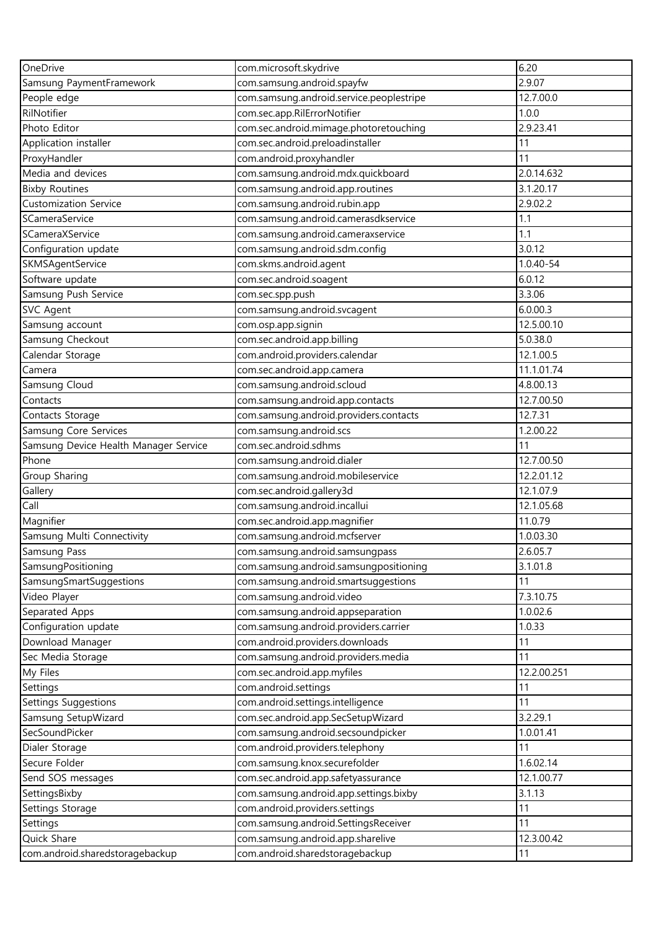| OneDrive                              | com.microsoft.skydrive                   | 6.20        |
|---------------------------------------|------------------------------------------|-------------|
| Samsung PaymentFramework              | com.samsung.android.spayfw               | 2.9.07      |
| People edge                           | com.samsung.android.service.peoplestripe | 12.7.00.0   |
| RilNotifier                           | com.sec.app.RilErrorNotifier             | 1.0.0       |
| Photo Editor                          | com.sec.android.mimage.photoretouching   | 2.9.23.41   |
| Application installer                 | com.sec.android.preloadinstaller         | 11          |
| ProxyHandler                          | com.android.proxyhandler                 | 11          |
| Media and devices                     | com.samsung.android.mdx.quickboard       | 2.0.14.632  |
| <b>Bixby Routines</b>                 | com.samsung.android.app.routines         | 3.1.20.17   |
| <b>Customization Service</b>          | com.samsung.android.rubin.app            | 2.9.02.2    |
| SCameraService                        | com.samsung.android.camerasdkservice     | 1.1         |
| SCameraXService                       | com.samsung.android.cameraxservice       | 1.1         |
| Configuration update                  | com.samsung.android.sdm.config           | 3.0.12      |
| SKMSAgentService                      | com.skms.android.agent                   | 1.0.40-54   |
| Software update                       | com.sec.android.soagent                  | 6.0.12      |
| Samsung Push Service                  | com.sec.spp.push                         | 3.3.06      |
| SVC Agent                             | com.samsung.android.svcagent             | 6.0.00.3    |
| Samsung account                       | com.osp.app.signin                       | 12.5.00.10  |
| Samsung Checkout                      | com.sec.android.app.billing              | 5.0.38.0    |
| Calendar Storage                      | com.android.providers.calendar           | 12.1.00.5   |
| Camera                                | com.sec.android.app.camera               | 11.1.01.74  |
| Samsung Cloud                         | com.samsung.android.scloud               | 4.8.00.13   |
| Contacts                              | com.samsung.android.app.contacts         | 12.7.00.50  |
| Contacts Storage                      | com.samsung.android.providers.contacts   | 12.7.31     |
| Samsung Core Services                 | com.samsung.android.scs                  | 1.2.00.22   |
| Samsung Device Health Manager Service | com.sec.android.sdhms                    | 11          |
| Phone                                 | com.samsung.android.dialer               | 12.7.00.50  |
| Group Sharing                         | com.samsung.android.mobileservice        | 12.2.01.12  |
| Gallery                               | com.sec.android.gallery3d                | 12.1.07.9   |
| Call                                  | com.samsung.android.incallui             | 12.1.05.68  |
| Magnifier                             | com.sec.android.app.magnifier            | 11.0.79     |
| Samsung Multi Connectivity            | com.samsung.android.mcfserver            | 1.0.03.30   |
| <b>Samsung Pass</b>                   | com.samsung.android.samsungpass          | 2.6.05.7    |
| SamsungPositioning                    | com.samsung.android.samsungpositioning   | 3.1.01.8    |
| SamsungSmartSuggestions               | com.samsung.android.smartsuggestions     | 11          |
| Video Player                          | com.samsung.android.video                | 7.3.10.75   |
| Separated Apps                        | com.samsung.android.appseparation        | 1.0.02.6    |
| Configuration update                  | com.samsung.android.providers.carrier    | 1.0.33      |
| Download Manager                      | com.android.providers.downloads          | 11          |
| Sec Media Storage                     | com.samsung.android.providers.media      | 11          |
| My Files                              | com.sec.android.app.myfiles              | 12.2.00.251 |
| Settings                              | com.android.settings                     | 11          |
| Settings Suggestions                  | com.android.settings.intelligence        | 11          |
| Samsung SetupWizard                   | com.sec.android.app.SecSetupWizard       | 3.2.29.1    |
| SecSoundPicker                        | com.samsung.android.secsoundpicker       | 1.0.01.41   |
| Dialer Storage                        | com.android.providers.telephony          | 11          |
| Secure Folder                         | com.samsung.knox.securefolder            | 1.6.02.14   |
| Send SOS messages                     | com.sec.android.app.safetyassurance      | 12.1.00.77  |
| SettingsBixby                         | com.samsung.android.app.settings.bixby   | 3.1.13      |
| Settings Storage                      | com.android.providers.settings           | 11          |
| Settings                              | com.samsung.android.SettingsReceiver     | 11          |
| Quick Share                           | com.samsung.android.app.sharelive        | 12.3.00.42  |
| com.android.sharedstoragebackup       | com.android.sharedstoragebackup          | 11          |